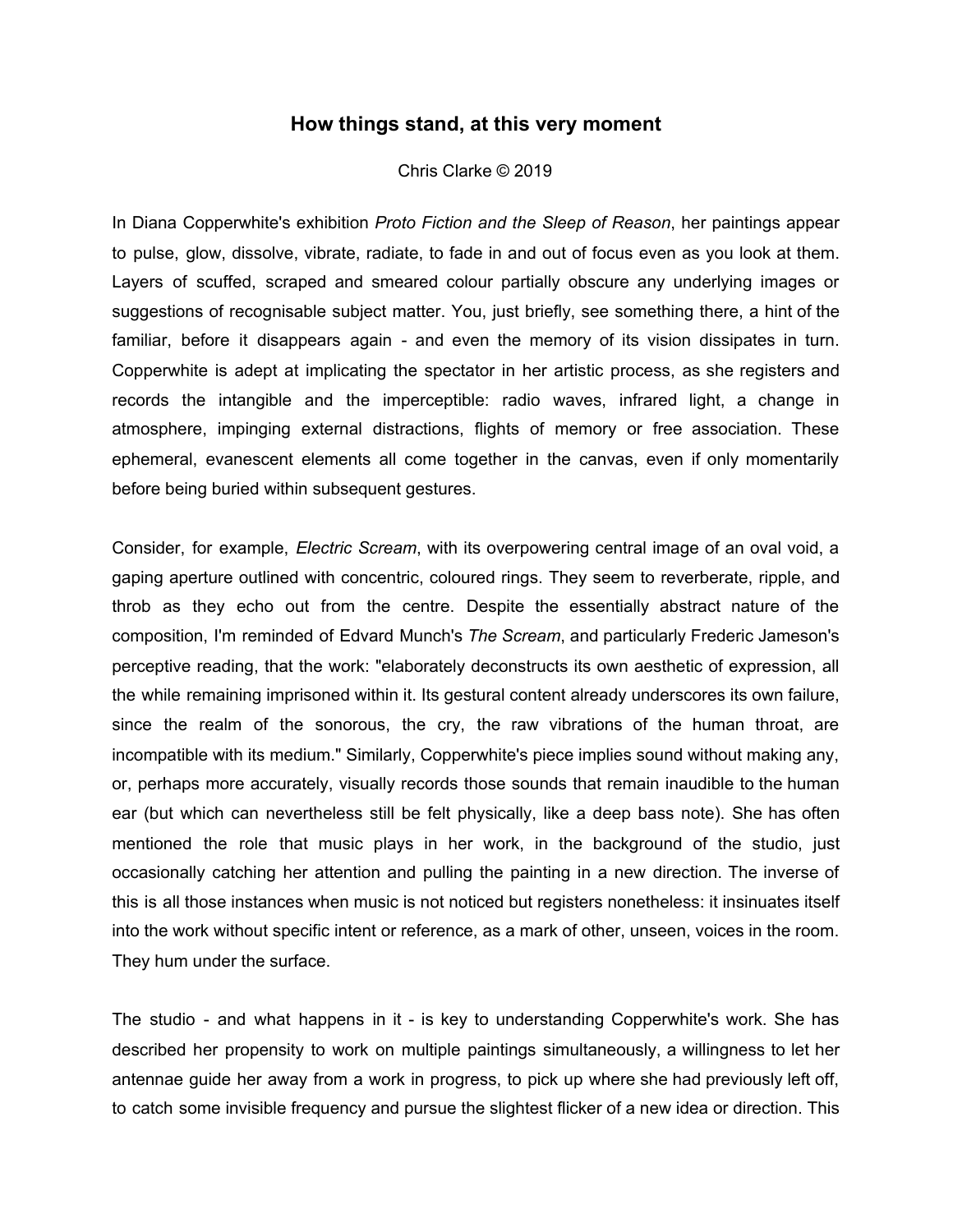## **How things stand, at this very moment**

## Chris Clarke © 2019

In Diana Copperwhite's exhibition *Proto Fiction and the Sleep of Reason*, her paintings appear to pulse, glow, dissolve, vibrate, radiate, to fade in and out of focus even as you look at them. Layers of scuffed, scraped and smeared colour partially obscure any underlying images or suggestions of recognisable subject matter. You, just briefly, see something there, a hint of the familiar, before it disappears again - and even the memory of its vision dissipates in turn. Copperwhite is adept at implicating the spectator in her artistic process, as she registers and records the intangible and the imperceptible: radio waves, infrared light, a change in atmosphere, impinging external distractions, flights of memory or free association. These ephemeral, evanescent elements all come together in the canvas, even if only momentarily before being buried within subsequent gestures.

Consider, for example, *Electric Scream*, with its overpowering central image of an oval void, a gaping aperture outlined with concentric, coloured rings. They seem to reverberate, ripple, and throb as they echo out from the centre. Despite the essentially abstract nature of the composition, I'm reminded of Edvard Munch's *The Scream*, and particularly Frederic Jameson's perceptive reading, that the work: "elaborately deconstructs its own aesthetic of expression, all the while remaining imprisoned within it. Its gestural content already underscores its own failure, since the realm of the sonorous, the cry, the raw vibrations of the human throat, are incompatible with its medium." Similarly, Copperwhite's piece implies sound without making any, or, perhaps more accurately, visually records those sounds that remain inaudible to the human ear (but which can nevertheless still be felt physically, like a deep bass note). She has often mentioned the role that music plays in her work, in the background of the studio, just occasionally catching her attention and pulling the painting in a new direction. The inverse of this is all those instances when music is not noticed but registers nonetheless: it insinuates itself into the work without specific intent or reference, as a mark of other, unseen, voices in the room. They hum under the surface.

The studio - and what happens in it - is key to understanding Copperwhite's work. She has described her propensity to work on multiple paintings simultaneously, a willingness to let her antennae guide her away from a work in progress, to pick up where she had previously left off, to catch some invisible frequency and pursue the slightest flicker of a new idea or direction. This